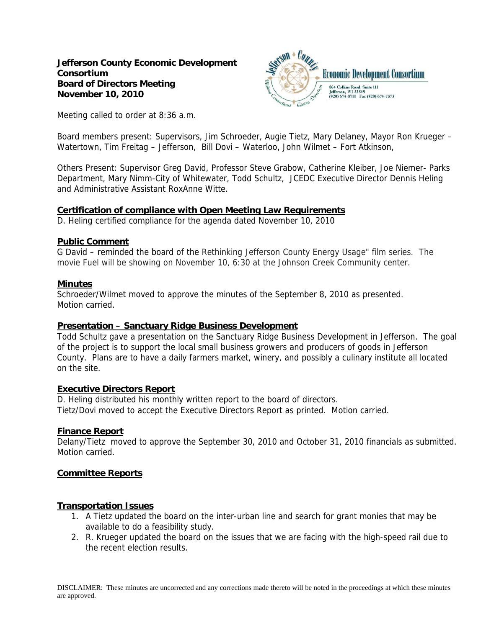

Meeting called to order at 8:36 a.m.

Board members present: Supervisors, Jim Schroeder, Augie Tietz, Mary Delaney, Mayor Ron Krueger – Watertown, Tim Freitag – Jefferson, Bill Dovi – Waterloo, John Wilmet – Fort Atkinson,

Others Present: Supervisor Greg David, Professor Steve Grabow, Catherine Kleiber, Joe Niemer- Parks Department, Mary Nimm-City of Whitewater, Todd Schultz, JCEDC Executive Director Dennis Heling and Administrative Assistant RoxAnne Witte.

### **Certification of compliance with Open Meeting Law Requirements**

D. Heling certified compliance for the agenda dated November 10, 2010

### **Public Comment**

G David – reminded the board of the Rethinking Jefferson County Energy Usage" film series. The movie Fuel will be showing on November 10, 6:30 at the Johnson Creek Community center.

### **Minutes**

Schroeder/Wilmet moved to approve the minutes of the September 8, 2010 as presented. Motion carried.

## **Presentation – Sanctuary Ridge Business Development**

Todd Schultz gave a presentation on the Sanctuary Ridge Business Development in Jefferson. The goal of the project is to support the local small business growers and producers of goods in Jefferson County. Plans are to have a daily farmers market, winery, and possibly a culinary institute all located on the site.

## **Executive Directors Report**

D. Heling distributed his monthly written report to the board of directors. Tietz/Dovi moved to accept the Executive Directors Report as printed. Motion carried.

## **Finance Report**

Delany/Tietz moved to approve the September 30, 2010 and October 31, 2010 financials as submitted. Motion carried.

## **Committee Reports**

## **Transportation Issues**

- 1. A Tietz updated the board on the inter-urban line and search for grant monies that may be available to do a feasibility study.
- 2. R. Krueger updated the board on the issues that we are facing with the high-speed rail due to the recent election results.